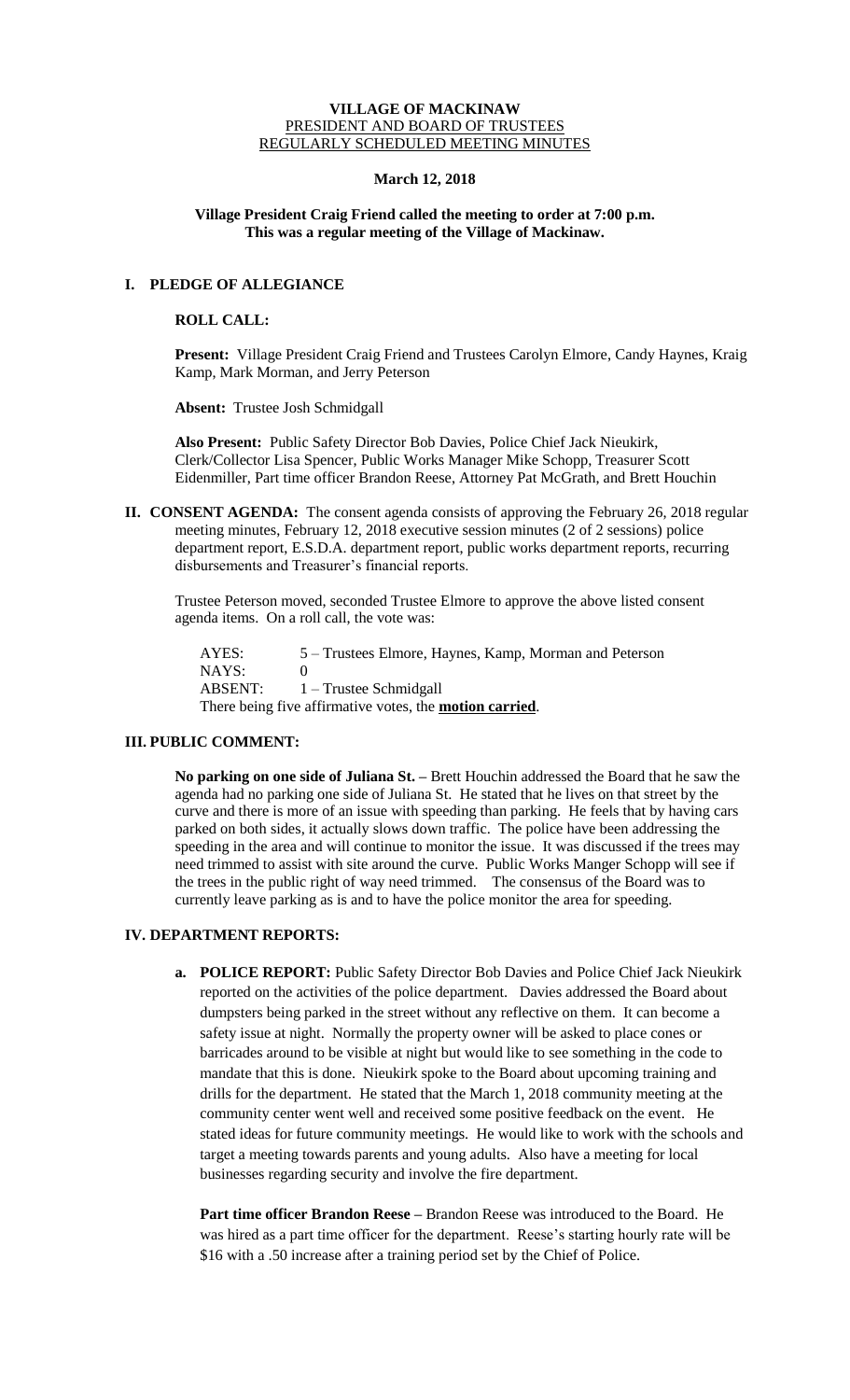### **VILLAGE OF MACKINAW** PRESIDENT AND BOARD OF TRUSTEES REGULARLY SCHEDULED MEETING MINUTES

## **March 12, 2018**

## **Village President Craig Friend called the meeting to order at 7:00 p.m. This was a regular meeting of the Village of Mackinaw.**

# **I. PLEDGE OF ALLEGIANCE**

### **ROLL CALL:**

**Present:** Village President Craig Friend and Trustees Carolyn Elmore, Candy Haynes, Kraig Kamp, Mark Morman, and Jerry Peterson

**Absent:** Trustee Josh Schmidgall

**Also Present:** Public Safety Director Bob Davies, Police Chief Jack Nieukirk, Clerk/Collector Lisa Spencer, Public Works Manager Mike Schopp, Treasurer Scott Eidenmiller, Part time officer Brandon Reese, Attorney Pat McGrath, and Brett Houchin

**II. CONSENT AGENDA:** The consent agenda consists of approving the February 26, 2018 regular meeting minutes, February 12, 2018 executive session minutes (2 of 2 sessions) police department report, E.S.D.A. department report, public works department reports, recurring disbursements and Treasurer's financial reports.

Trustee Peterson moved, seconded Trustee Elmore to approve the above listed consent agenda items. On a roll call, the vote was:

AYES: 5 – Trustees Elmore, Haynes, Kamp, Morman and Peterson NAYS: 0 ABSENT: 1 – Trustee Schmidgall There being five affirmative votes, the **motion carried**.

# **III. PUBLIC COMMENT:**

**No parking on one side of Juliana St. –** Brett Houchin addressed the Board that he saw the agenda had no parking one side of Juliana St. He stated that he lives on that street by the curve and there is more of an issue with speeding than parking. He feels that by having cars parked on both sides, it actually slows down traffic. The police have been addressing the speeding in the area and will continue to monitor the issue. It was discussed if the trees may need trimmed to assist with site around the curve. Public Works Manger Schopp will see if the trees in the public right of way need trimmed. The consensus of the Board was to currently leave parking as is and to have the police monitor the area for speeding.

# **IV. DEPARTMENT REPORTS:**

**a. POLICE REPORT:** Public Safety Director Bob Davies and Police Chief Jack Nieukirk reported on the activities of the police department. Davies addressed the Board about dumpsters being parked in the street without any reflective on them. It can become a safety issue at night. Normally the property owner will be asked to place cones or barricades around to be visible at night but would like to see something in the code to mandate that this is done. Nieukirk spoke to the Board about upcoming training and drills for the department. He stated that the March 1, 2018 community meeting at the community center went well and received some positive feedback on the event. He stated ideas for future community meetings. He would like to work with the schools and target a meeting towards parents and young adults. Also have a meeting for local businesses regarding security and involve the fire department.

**Part time officer Brandon Reese –** Brandon Reese was introduced to the Board. He was hired as a part time officer for the department. Reese's starting hourly rate will be \$16 with a .50 increase after a training period set by the Chief of Police.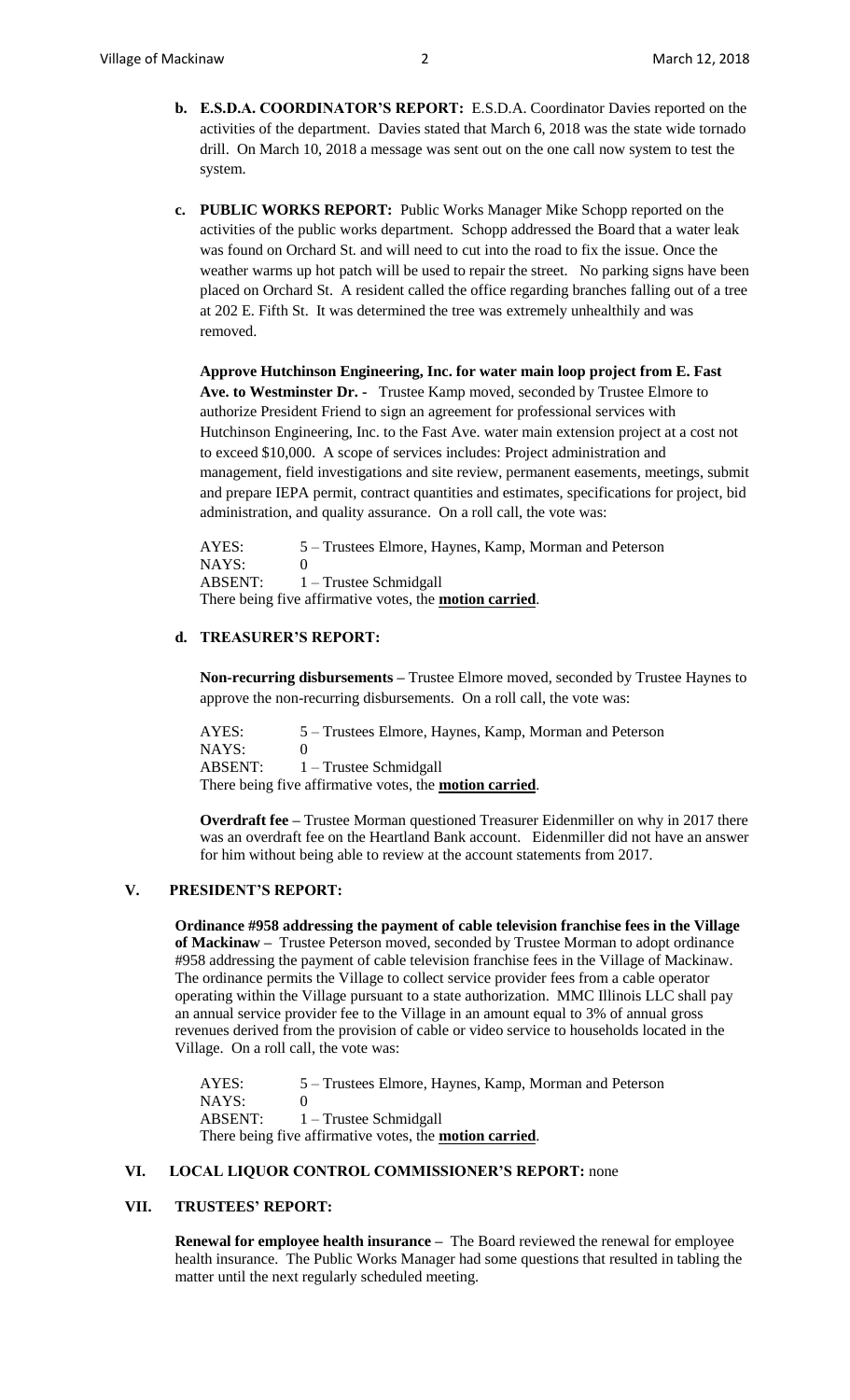- **b. E.S.D.A. COORDINATOR'S REPORT:** E.S.D.A. Coordinator Davies reported on the activities of the department. Davies stated that March 6, 2018 was the state wide tornado drill. On March 10, 2018 a message was sent out on the one call now system to test the system.
- **c. PUBLIC WORKS REPORT:** Public Works Manager Mike Schopp reported on the activities of the public works department. Schopp addressed the Board that a water leak was found on Orchard St. and will need to cut into the road to fix the issue. Once the weather warms up hot patch will be used to repair the street. No parking signs have been placed on Orchard St. A resident called the office regarding branches falling out of a tree at 202 E. Fifth St. It was determined the tree was extremely unhealthily and was removed.

**Approve Hutchinson Engineering, Inc. for water main loop project from E. Fast Ave. to Westminster Dr. -** Trustee Kamp moved, seconded by Trustee Elmore to authorize President Friend to sign an agreement for professional services with Hutchinson Engineering, Inc. to the Fast Ave. water main extension project at a cost not to exceed \$10,000. A scope of services includes: Project administration and management, field investigations and site review, permanent easements, meetings, submit and prepare IEPA permit, contract quantities and estimates, specifications for project, bid administration, and quality assurance. On a roll call, the vote was:

AYES: 5 – Trustees Elmore, Haynes, Kamp, Morman and Peterson NAYS: 0 ABSENT: 1 – Trustee Schmidgall There being five affirmative votes, the **motion carried**.

# **d. TREASURER'S REPORT:**

**Non-recurring disbursements –** Trustee Elmore moved, seconded by Trustee Haynes to approve the non-recurring disbursements. On a roll call, the vote was:

AYES: 5 – Trustees Elmore, Haynes, Kamp, Morman and Peterson NAYS: 0 ABSENT: 1 – Trustee Schmidgall There being five affirmative votes, the **motion carried**.

**Overdraft fee –** Trustee Morman questioned Treasurer Eidenmiller on why in 2017 there was an overdraft fee on the Heartland Bank account. Eidenmiller did not have an answer for him without being able to review at the account statements from 2017.

### **V. PRESIDENT'S REPORT:**

**Ordinance #958 addressing the payment of cable television franchise fees in the Village of Mackinaw –** Trustee Peterson moved, seconded by Trustee Morman to adopt ordinance #958 addressing the payment of cable television franchise fees in the Village of Mackinaw. The ordinance permits the Village to collect service provider fees from a cable operator operating within the Village pursuant to a state authorization. MMC Illinois LLC shall pay an annual service provider fee to the Village in an amount equal to 3% of annual gross revenues derived from the provision of cable or video service to households located in the Village. On a roll call, the vote was:

AYES: 5 – Trustees Elmore, Haynes, Kamp, Morman and Peterson NAYS: 0 ABSENT: 1 – Trustee Schmidgall There being five affirmative votes, the **motion carried**.

### **VI. LOCAL LIQUOR CONTROL COMMISSIONER'S REPORT:** none

# **VII. TRUSTEES' REPORT:**

**Renewal for employee health insurance –** The Board reviewed the renewal for employee health insurance. The Public Works Manager had some questions that resulted in tabling the matter until the next regularly scheduled meeting.